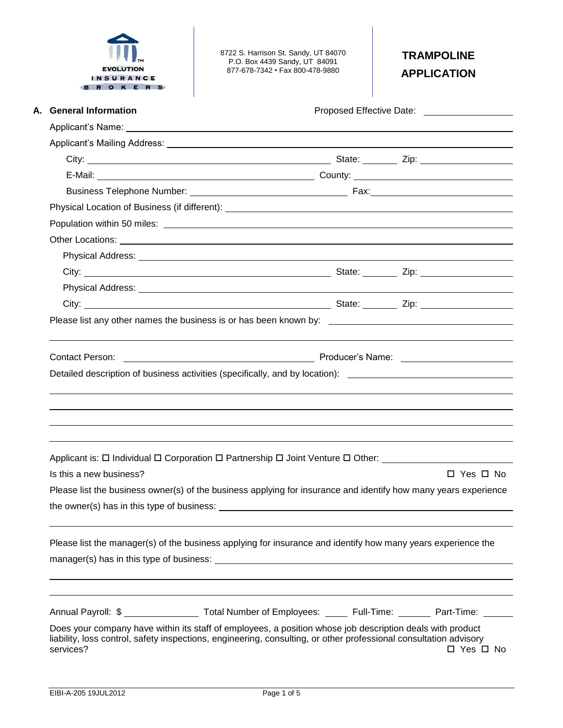

8722 S. Harrison St. Sandy, UT 84070 P.O. Box 4439 Sandy, UT 84091 877-678-7342 • Fax 800-478-9880

# **TRAMPOLINE APPLICATION**

| <b>General Information</b> |                                                                                                                                                                                                                                |                      |  |  |  |  |
|----------------------------|--------------------------------------------------------------------------------------------------------------------------------------------------------------------------------------------------------------------------------|----------------------|--|--|--|--|
|                            |                                                                                                                                                                                                                                |                      |  |  |  |  |
|                            |                                                                                                                                                                                                                                |                      |  |  |  |  |
|                            |                                                                                                                                                                                                                                |                      |  |  |  |  |
|                            |                                                                                                                                                                                                                                |                      |  |  |  |  |
|                            |                                                                                                                                                                                                                                |                      |  |  |  |  |
|                            |                                                                                                                                                                                                                                |                      |  |  |  |  |
|                            |                                                                                                                                                                                                                                |                      |  |  |  |  |
|                            |                                                                                                                                                                                                                                |                      |  |  |  |  |
|                            |                                                                                                                                                                                                                                |                      |  |  |  |  |
|                            |                                                                                                                                                                                                                                |                      |  |  |  |  |
|                            |                                                                                                                                                                                                                                |                      |  |  |  |  |
|                            |                                                                                                                                                                                                                                |                      |  |  |  |  |
|                            | Please list any other names the business is or has been known by:                                                                                                                                                              |                      |  |  |  |  |
|                            |                                                                                                                                                                                                                                |                      |  |  |  |  |
|                            | Detailed description of business activities (specifically, and by location): ________________________________                                                                                                                  |                      |  |  |  |  |
|                            | Applicant is: □ Individual □ Corporation □ Partnership □ Joint Venture □ Other: ___________________                                                                                                                            |                      |  |  |  |  |
| Is this a new business?    |                                                                                                                                                                                                                                | $\Box$ Yes $\Box$ No |  |  |  |  |
|                            | Please list the business owner(s) of the business applying for insurance and identify how many years experience                                                                                                                |                      |  |  |  |  |
|                            |                                                                                                                                                                                                                                |                      |  |  |  |  |
|                            | Please list the manager(s) of the business applying for insurance and identify how many years experience the                                                                                                                   |                      |  |  |  |  |
|                            | Annual Payroll: \$ ___________________ Total Number of Employees: ______ Full-Time: _______ Part-Time: ______                                                                                                                  |                      |  |  |  |  |
| services?                  | Does your company have within its staff of employees, a position whose job description deals with product<br>liability, loss control, safety inspections, engineering, consulting, or other professional consultation advisory | $\Box$ Yes $\Box$ No |  |  |  |  |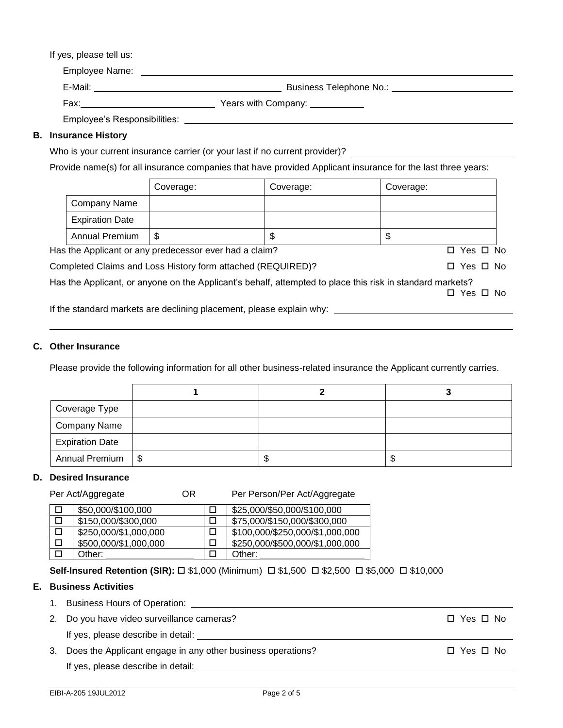#### If yes, please tell us:

| Employee Name:               |                                         |
|------------------------------|-----------------------------------------|
| E-Mail:                      | Business Telephone No.:                 |
| Fax:                         | Years with Company: Vears with Company: |
| Employee's Responsibilities: |                                         |

#### **B. Insurance History**

|  |  | Who is your current insurance carrier (or your last if no current provider)? |  |  |  |  |
|--|--|------------------------------------------------------------------------------|--|--|--|--|
|  |  |                                                                              |  |  |  |  |
|  |  |                                                                              |  |  |  |  |

Provide name(s) for all insurance companies that have provided Applicant insurance for the last three years:

|                        | Coverage:                                                   | Coverage: | Coverage:            |  |
|------------------------|-------------------------------------------------------------|-----------|----------------------|--|
| Company Name           |                                                             |           |                      |  |
| <b>Expiration Date</b> |                                                             |           |                      |  |
| <b>Annual Premium</b>  | S                                                           |           | \$                   |  |
|                        | Has the Applicant or any predecessor ever had a claim?      |           | $\Box$ Yes $\Box$ No |  |
|                        | Completed Claims and Loss History form attached (REQUIRED)? |           | $\Box$ Yes $\Box$ No |  |
|                        |                                                             |           |                      |  |

Has the Applicant, or anyone on the Applicant's behalf, attempted to place this risk in standard markets? □ Yes □ No

If the standard markets are declining placement, please explain why: \_\_\_\_

#### **C. Other Insurance**

Please provide the following information for all other business-related insurance the Applicant currently carries.

| Coverage Type          |  |   |
|------------------------|--|---|
| Company Name           |  |   |
| <b>Expiration Date</b> |  |   |
| Annual Premium   \$    |  | Ф |

#### **D. Desired Insurance**

Per Act/Aggregate **OR** Per Person/Per Act/Aggregate

| \$50,000/\$100,000    | \$25,000/\$50,000/\$100,000     |
|-----------------------|---------------------------------|
| \$150,000/\$300,000   | \$75,000/\$150,000/\$300,000    |
| \$250,000/\$1,000,000 | \$100,000/\$250,000/\$1,000,000 |
| \$500,000/\$1,000,000 | \$250,000/\$500,000/\$1,000,000 |
| Other:                | Other:                          |

#### **Self-Insured Retention (SIR):** □ \$1,000 (Minimum) □ \$1,500 □ \$2,500 □ \$5,000 □ \$10,000

#### **E. Business Activities**

- 1. Business Hours of Operation:
- 2. Do you have video surveillance cameras?  $\Box$  Yes  $\Box$  No

If yes, please describe in detail:

3. Does the Applicant engage in any other business operations?  $\square$  Yes  $\square$  No

If yes, please describe in detail: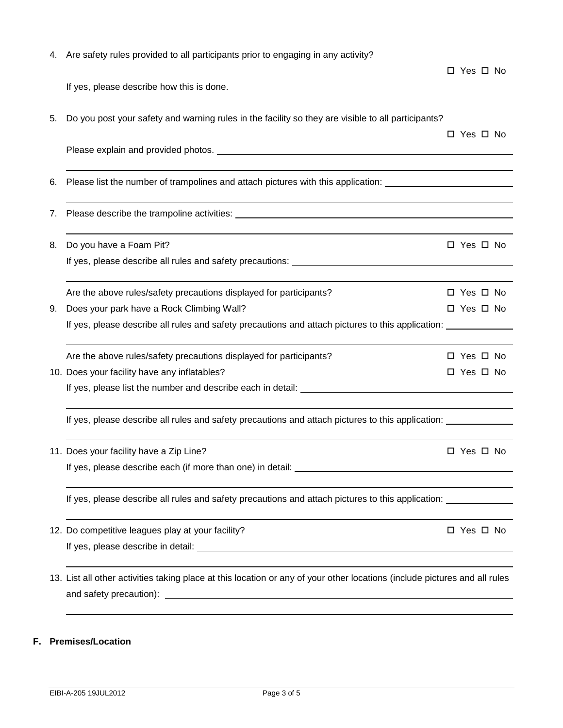|    | 4. Are safety rules provided to all participants prior to engaging in any activity?                                        |                      |
|----|----------------------------------------------------------------------------------------------------------------------------|----------------------|
|    |                                                                                                                            | □ Yes □ No           |
|    |                                                                                                                            |                      |
| 5. | Do you post your safety and warning rules in the facility so they are visible to all participants?                         |                      |
|    |                                                                                                                            | □ Yes □ No           |
|    |                                                                                                                            |                      |
| 6. | Please list the number of trampolines and attach pictures with this application: ____________________________              |                      |
| 7. |                                                                                                                            |                      |
| 8. | Do you have a Foam Pit?                                                                                                    | $\Box$ Yes $\Box$ No |
|    | If yes, please describe all rules and safety precautions: <b>Example 2018</b> 2019 12:00:00 PM                             |                      |
|    | Are the above rules/safety precautions displayed for participants?                                                         | $\Box$ Yes $\Box$ No |
| 9. | Does your park have a Rock Climbing Wall?                                                                                  | □ Yes □ No           |
|    | If yes, please describe all rules and safety precautions and attach pictures to this application:                          |                      |
|    | Are the above rules/safety precautions displayed for participants?                                                         | □ Yes □ No           |
|    | 10. Does your facility have any inflatables?                                                                               | □ Yes □ No           |
|    |                                                                                                                            |                      |
|    | If yes, please describe all rules and safety precautions and attach pictures to this application:                          |                      |
|    | 11. Does your facility have a Zip Line?                                                                                    | □ Yes □ No           |
|    | If yes, please describe each (if more than one) in detail:                                                                 |                      |
|    | If yes, please describe all rules and safety precautions and attach pictures to this application:                          |                      |
|    | 12. Do competitive leagues play at your facility?                                                                          | □ Yes □ No           |
|    |                                                                                                                            |                      |
|    | 13. List all other activities taking place at this location or any of your other locations (include pictures and all rules |                      |
|    |                                                                                                                            |                      |
|    |                                                                                                                            |                      |

## **F. Premises/Location**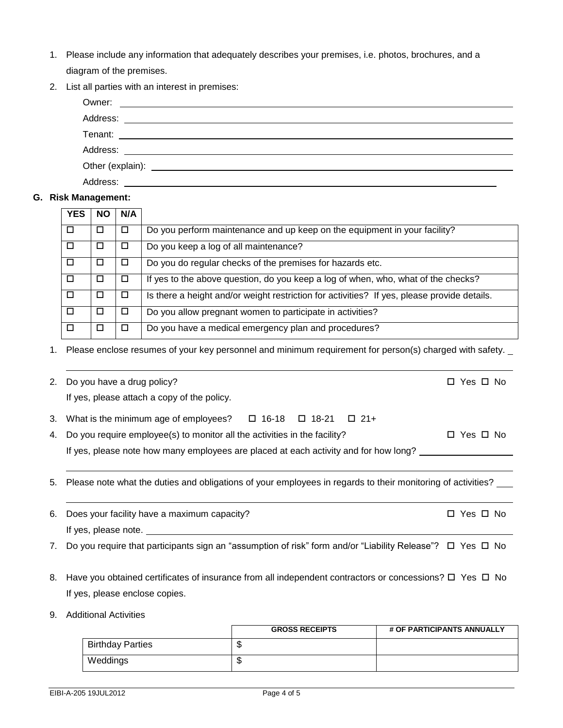| 1. Please include any information that adequately describes your premises, i.e. photos, brochures, and a |
|----------------------------------------------------------------------------------------------------------|
| diagram of the premises.                                                                                 |

2. List all parties with an interest in premises:

| Owner:   | <u> Alexandria de la contrada de la contrada de la contrada de la contrada de la contrada de la contrada de la c</u> |  |
|----------|----------------------------------------------------------------------------------------------------------------------|--|
|          |                                                                                                                      |  |
|          |                                                                                                                      |  |
|          |                                                                                                                      |  |
|          |                                                                                                                      |  |
| Address: |                                                                                                                      |  |

### **G. Risk Management:**

| <b>YES</b> | NO | N/A    |                                                                                             |
|------------|----|--------|---------------------------------------------------------------------------------------------|
|            | □  | $\Box$ | Do you perform maintenance and up keep on the equipment in your facility?                   |
| П          | □  | $\Box$ | Do you keep a log of all maintenance?                                                       |
| □          | □  | $\Box$ | Do you do regular checks of the premises for hazards etc.                                   |
| п          | □  | $\Box$ | If yes to the above question, do you keep a log of when, who, what of the checks?           |
| п          | □  | $\Box$ | Is there a height and/or weight restriction for activities? If yes, please provide details. |
| □          | □  | $\Box$ | Do you allow pregnant women to participate in activities?                                   |
|            | ◻  | $\Box$ | Do you have a medical emergency plan and procedures?                                        |

1. Please enclose resumes of your key personnel and minimum requirement for person(s) charged with safety.

|          | 2. Do you have a drug policy?<br>If yes, please attach a copy of the policy.                                                                                                                                                                    | □ Yes □ No     |
|----------|-------------------------------------------------------------------------------------------------------------------------------------------------------------------------------------------------------------------------------------------------|----------------|
| 3.<br>4. | What is the minimum age of employees? $\Box$ 16-18 $\Box$ 18-21 $\Box$ 21+<br>Do you require employee(s) to monitor all the activities in the facility?<br>If yes, please note how many employees are placed at each activity and for how long? | □ Yes □ No     |
|          |                                                                                                                                                                                                                                                 |                |
| 5.       | Please note what the duties and obligations of your employees in regards to their monitoring of activities?                                                                                                                                     |                |
| 6.       | Does your facility have a maximum capacity?<br>If yes, please note.                                                                                                                                                                             | Yes □ No<br>О. |
| 7.       | Do you require that participants sign an "assumption of risk" form and/or "Liability Release"? $\Box$ Yes $\Box$ No                                                                                                                             |                |
|          | 8. Have you obtained certificates of insurance from all independent contractors or concessions? $\square$ Yes $\square$ No<br>If yes, please enclose copies.                                                                                    |                |
| 9.       | <b>Additional Activities</b>                                                                                                                                                                                                                    |                |

|                         | <b>GROSS RECEIPTS</b> | # OF PARTICIPANTS ANNUALLY |
|-------------------------|-----------------------|----------------------------|
| <b>Birthday Parties</b> | ٤IJ                   |                            |
| Weddings                | ۰IJ                   |                            |